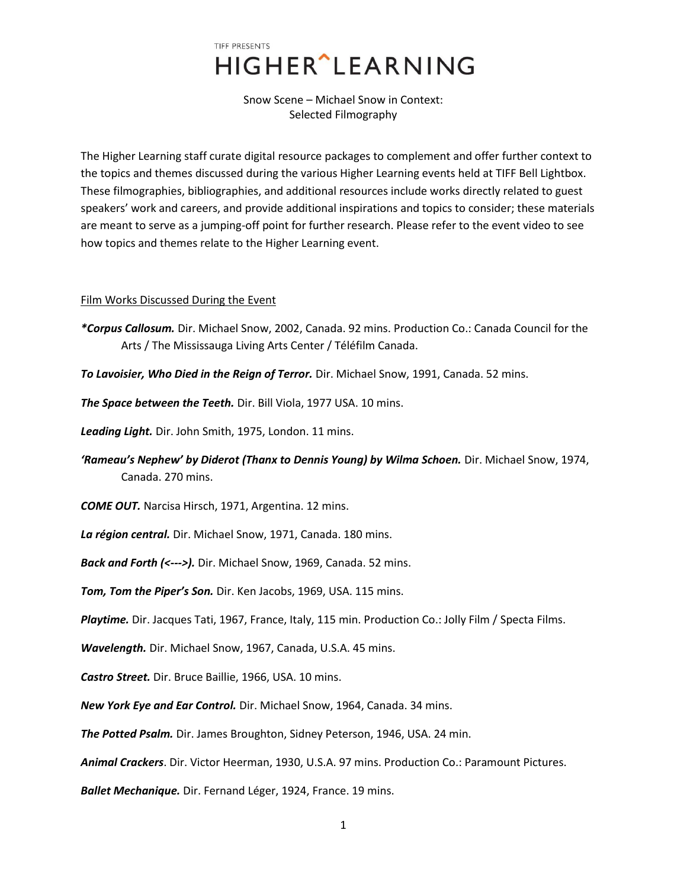## TIFF PRESENTS **HIGHER** LEARNING

Snow Scene – Michael Snow in Context: Selected Filmography

The Higher Learning staff curate digital resource packages to complement and offer further context to the topics and themes discussed during the various Higher Learning events held at TIFF Bell Lightbox. These filmographies, bibliographies, and additional resources include works directly related to guest speakers' work and careers, and provide additional inspirations and topics to consider; these materials are meant to serve as a jumping-off point for further research. Please refer to the event video to see how topics and themes relate to the Higher Learning event.

## Film Works Discussed During the Event

- *\*Corpus Callosum.* Dir. Michael Snow, 2002, Canada. 92 mins. Production Co.: Canada Council for the Arts / The Mississauga Living Arts Center / Téléfilm Canada.
- *To Lavoisier, Who Died in the Reign of Terror.* Dir. Michael Snow, 1991, Canada. 52 mins.
- *The Space between the Teeth.* Dir. Bill Viola, 1977 USA. 10 mins.

*Leading Light.* Dir. John Smith, 1975, London. 11 mins.

*'Rameau's Nephew' by Diderot (Thanx to Dennis Young) by Wilma Schoen.* Dir. Michael Snow, 1974, Canada. 270 mins.

*COME OUT.* Narcisa Hirsch, 1971, Argentina. 12 mins.

*La région central.* Dir. Michael Snow, 1971, Canada. 180 mins.

*Back and Forth (<--->).* Dir. Michael Snow, 1969, Canada. 52 mins.

*Tom, Tom the Piper's Son.* Dir. Ken Jacobs, 1969, USA. 115 mins.

*Playtime.* Dir. Jacques Tati, 1967, France, Italy, 115 min. Production Co.: Jolly Film / Specta Films.

*Wavelength.* Dir. Michael Snow, 1967, Canada, U.S.A. 45 mins.

*Castro Street.* Dir. Bruce Baillie, 1966, USA. 10 mins.

*New York Eye and Ear Control.* Dir. Michael Snow, 1964, Canada. 34 mins.

*The Potted Psalm.* Dir. James Broughton, Sidney Peterson, 1946, USA. 24 min.

*Animal Crackers*. Dir. Victor Heerman, 1930, U.S.A. 97 mins. Production Co.: Paramount Pictures.

*Ballet Mechanique.* Dir. Fernand Léger, 1924, France. 19 mins.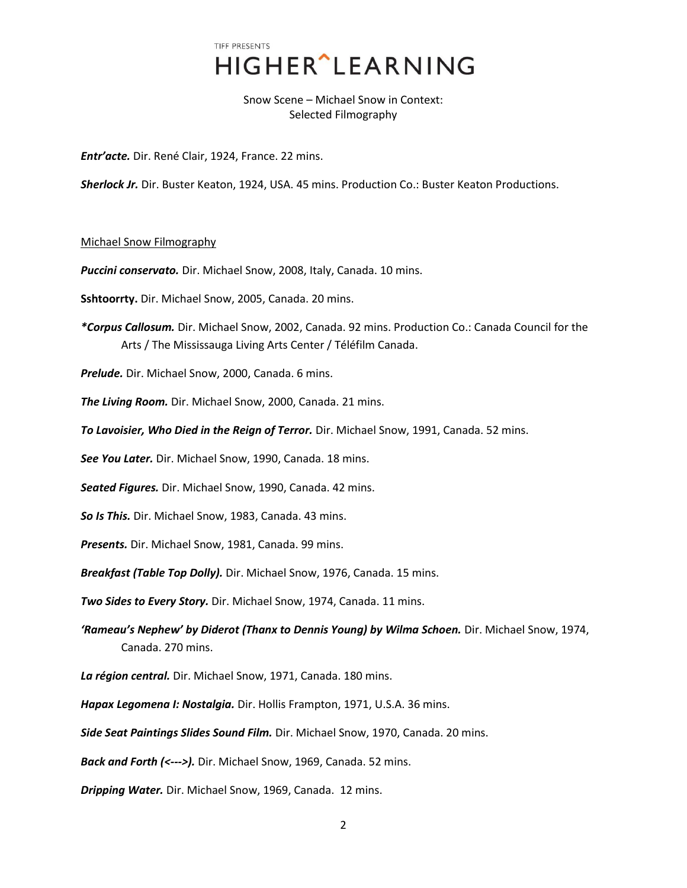## TIFF PRESENTS **HIGHER** LEARNING

Snow Scene – Michael Snow in Context: Selected Filmography

*Entr'acte.* Dir. René Clair, 1924, France. 22 mins.

*Sherlock Jr.* Dir. Buster Keaton, 1924, USA. 45 mins. Production Co.: Buster Keaton Productions.

## Michael Snow Filmography

*Puccini conservato.* Dir. Michael Snow, 2008, Italy, Canada. 10 mins.

**Sshtoorrty.** Dir. Michael Snow, 2005, Canada. 20 mins.

*\*Corpus Callosum.* Dir. Michael Snow, 2002, Canada. 92 mins. Production Co.: Canada Council for the Arts / The Mississauga Living Arts Center / Téléfilm Canada.

*Prelude.* Dir. Michael Snow, 2000, Canada. 6 mins.

*The Living Room.* Dir. Michael Snow, 2000, Canada. 21 mins.

*To Lavoisier, Who Died in the Reign of Terror.* Dir. Michael Snow, 1991, Canada. 52 mins.

*See You Later.* Dir. Michael Snow, 1990, Canada. 18 mins.

*Seated Figures.* Dir. Michael Snow, 1990, Canada. 42 mins.

*So Is This.* Dir. Michael Snow, 1983, Canada. 43 mins.

*Presents.* Dir. Michael Snow, 1981, Canada. 99 mins.

*Breakfast (Table Top Dolly).* Dir. Michael Snow, 1976, Canada. 15 mins.

*Two Sides to Every Story.* Dir. Michael Snow, 1974, Canada. 11 mins.

*'Rameau's Nephew' by Diderot (Thanx to Dennis Young) by Wilma Schoen.* Dir. Michael Snow, 1974, Canada. 270 mins.

*La région central.* Dir. Michael Snow, 1971, Canada. 180 mins.

*Hapax Legomena I: Nostalgia.* Dir. Hollis Frampton, 1971, U.S.A. 36 mins.

*Side Seat Paintings Slides Sound Film.* Dir. Michael Snow, 1970, Canada. 20 mins.

*Back and Forth (<--->).* Dir. Michael Snow, 1969, Canada. 52 mins.

*Dripping Water.* Dir. Michael Snow, 1969, Canada. 12 mins.